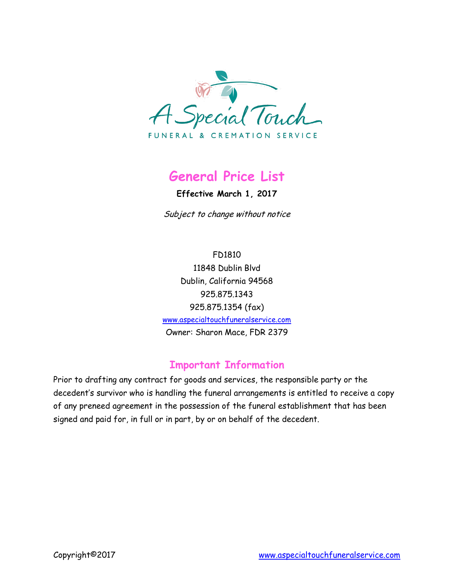

# **General Price List**

**Effective March 1, 2017**

Subject to change without notice

FD1810 11848 Dublin Blvd Dublin, California 94568 925.875.1343 925.875.1354 (fax) [www.aspecialtouchfuneralservice.com](http://www.aspecialtouchfuneralservice.com/) Owner: Sharon Mace, FDR 2379

### **Important Information**

Prior to drafting any contract for goods and services, the responsible party or the decedent's survivor who is handling the funeral arrangements is entitled to receive a copy of any preneed agreement in the possession of the funeral establishment that has been signed and paid for, in full or in part, by or on behalf of the decedent.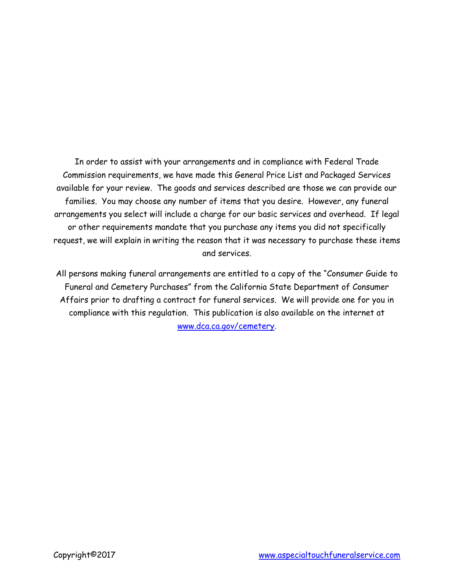In order to assist with your arrangements and in compliance with Federal Trade Commission requirements, we have made this General Price List and Packaged Services available for your review. The goods and services described are those we can provide our families. You may choose any number of items that you desire. However, any funeral arrangements you select will include a charge for our basic services and overhead. If legal or other requirements mandate that you purchase any items you did not specifically request, we will explain in writing the reason that it was necessary to purchase these items and services.

All persons making funeral arrangements are entitled to a copy of the "Consumer Guide to Funeral and Cemetery Purchases" from the California State Department of Consumer Affairs prior to drafting a contract for funeral services. We will provide one for you in compliance with this regulation. This publication is also available on the internet at [www.dca.ca.gov/cemetery](http://www.dca.ca.gov/cemetery).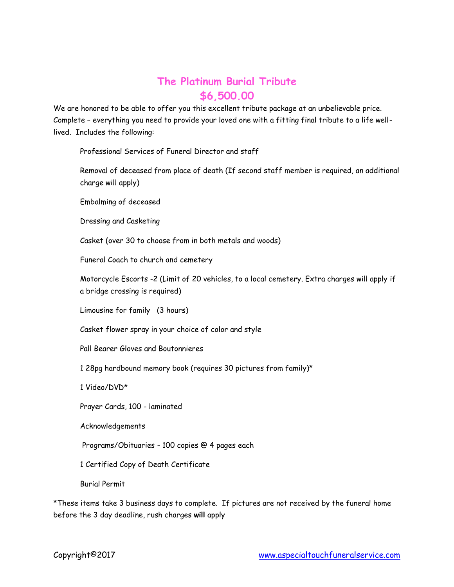### **The Platinum Burial Tribute \$6,500.00**

We are honored to be able to offer you this excellent tribute package at an unbelievable price. Complete – everything you need to provide your loved one with a fitting final tribute to a life welllived. Includes the following:

Professional Services of Funeral Director and staff

Removal of deceased from place of death (If second staff member is required, an additional charge will apply)

Embalming of deceased

Dressing and Casketing

Casket (over 30 to choose from in both metals and woods)

Funeral Coach to church and cemetery

Motorcycle Escorts -2 (Limit of 20 vehicles, to a local cemetery. Extra charges will apply if a bridge crossing is required)

Limousine for family (3 hours)

Casket flower spray in your choice of color and style

Pall Bearer Gloves and Boutonnieres

1 28pg hardbound memory book (requires 30 pictures from family)\*

1 Video/DVD\*

Prayer Cards, 100 - laminated

Acknowledgements

Programs/Obituaries - 100 copies @ 4 pages each

1 Certified Copy of Death Certificate

Burial Permit

\*These items take 3 business days to complete. If pictures are not received by the funeral home before the 3 day deadline, rush charges **will** apply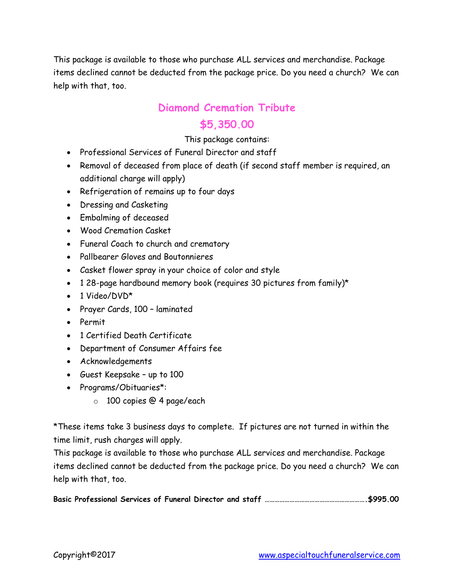This package is available to those who purchase ALL services and merchandise. Package items declined cannot be deducted from the package price. Do you need a church? We can help with that, too.

# **Diamond Cremation Tribute**

## **\$5,350.00**

### This package contains:

- Professional Services of Funeral Director and staff
- Removal of deceased from place of death (if second staff member is required, an additional charge will apply)
- Refrigeration of remains up to four days
- Dressing and Casketing
- Embalming of deceased
- Wood Cremation Casket
- Funeral Coach to church and crematory
- Pallbearer Gloves and Boutonnieres
- Casket flower spray in your choice of color and style
- $\bullet$  1 28-page hardbound memory book (requires 30 pictures from family)\*
- $\bullet$  1 Video/DVD\*
- Prayer Cards, 100 laminated
- Permit
- 1 Certified Death Certificate
- Department of Consumer Affairs fee
- Acknowledgements
- Guest Keepsake up to 100
- Programs/Obituaries\*:
	- o 100 copies @ 4 page/each

\*These items take 3 business days to complete. If pictures are not turned in within the time limit, rush charges will apply.

This package is available to those who purchase ALL services and merchandise. Package items declined cannot be deducted from the package price. Do you need a church? We can help with that, too.

**Basic Professional Services of Funeral Director and staff …………………………………………………….\$995.00**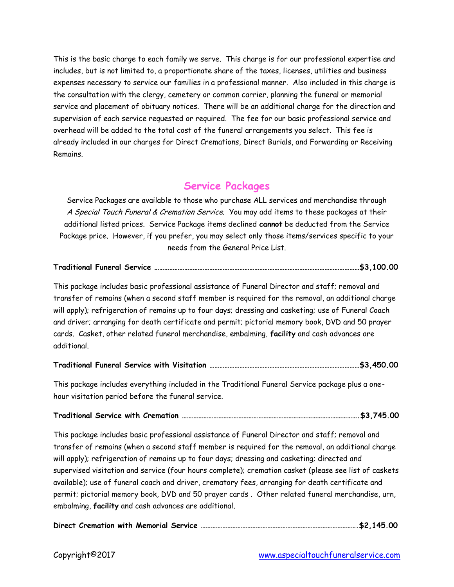This is the basic charge to each family we serve. This charge is for our professional expertise and includes, but is not limited to, a proportionate share of the taxes, licenses, utilities and business expenses necessary to service our families in a professional manner. Also included in this charge is the consultation with the clergy, cemetery or common carrier, planning the funeral or memorial service and placement of obituary notices. There will be an additional charge for the direction and supervision of each service requested or required. The fee for our basic professional service and overhead will be added to the total cost of the funeral arrangements you select. This fee is already included in our charges for Direct Cremations, Direct Burials, and Forwarding or Receiving Remains.

### **Service Packages**

Service Packages are available to those who purchase ALL services and merchandise through A Special Touch Funeral & Cremation Service. You may add items to these packages at their additional listed prices. Service Package items declined **cannot** be deducted from the Service Package price. However, if you prefer, you may select only those items/services specific to your needs from the General Price List.

|--|--|

This package includes basic professional assistance of Funeral Director and staff; removal and transfer of remains (when a second staff member is required for the removal, an additional charge will apply); refrigeration of remains up to four days; dressing and casketing; use of Funeral Coach and driver; arranging for death certificate and permit; pictorial memory book, DVD and 50 prayer cards. Casket, other related funeral merchandise, embalming, **facility** and cash advances are additional.

This package includes everything included in the Traditional Funeral Service package plus a onehour visitation period before the funeral service.

#### **Traditional Service with Cremation …………………………………………………………………………………………….\$3,745.00**

This package includes basic professional assistance of Funeral Director and staff; removal and transfer of remains (when a second staff member is required for the removal, an additional charge will apply); refrigeration of remains up to four days; dressing and casketing; directed and supervised visitation and service (four hours complete); cremation casket (please see list of caskets available); use of funeral coach and driver, crematory fees, arranging for death certificate and permit; pictorial memory book, DVD and 50 prayer cards . Other related funeral merchandise, urn, embalming, **facility** and cash advances are additional.

|--|--|--|--|--|--|--|--|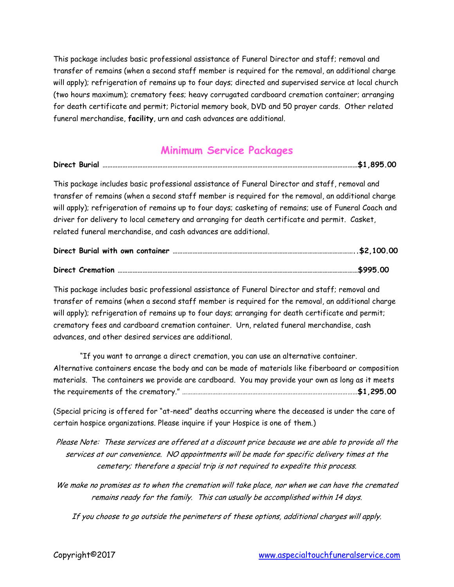This package includes basic professional assistance of Funeral Director and staff; removal and transfer of remains (when a second staff member is required for the removal, an additional charge will apply); refrigeration of remains up to four days; directed and supervised service at local church (two hours maximum); crematory fees; heavy corrugated cardboard cremation container; arranging for death certificate and permit; Pictorial memory book, DVD and 50 prayer cards. Other related funeral merchandise, **facility**, urn and cash advances are additional.

### **Minimum Service Packages**

| Direct Burial |  |  |  | <b>OOE</b> |  |  |
|---------------|--|--|--|------------|--|--|
|---------------|--|--|--|------------|--|--|

This package includes basic professional assistance of Funeral Director and staff, removal and transfer of remains (when a second staff member is required for the removal, an additional charge will apply); refrigeration of remains up to four days; casketing of remains; use of Funeral Coach and driver for delivery to local cemetery and arranging for death certificate and permit. Casket, related funeral merchandise, and cash advances are additional.

|  |  | 5995.00. \$995.00 \$995.00 |
|--|--|----------------------------|

This package includes basic professional assistance of Funeral Director and staff; removal and transfer of remains (when a second staff member is required for the removal, an additional charge will apply); refrigeration of remains up to four days; arranging for death certificate and permit; crematory fees and cardboard cremation container. Urn, related funeral merchandise, cash advances, and other desired services are additional.

"If you want to arrange a direct cremation, you can use an alternative container. Alternative containers encase the body and can be made of materials like fiberboard or composition materials. The containers we provide are cardboard. You may provide your own as long as it meets the requirements of the crematory." ……………………………………………………………………………………………**\$1,295.00**

(Special pricing is offered for "at-need" deaths occurring where the deceased is under the care of certain hospice organizations. Please inquire if your Hospice is one of them.)

Please Note: These services are offered at a discount price because we are able to provide all the services at our convenience. NO appointments will be made for specific delivery times at the cemetery; therefore a special trip is not required to expedite this process.

We make no promises as to when the cremation will take place, nor when we can have the cremated remains ready for the family. This can usually be accomplished within 14 days.

If you choose to go outside the perimeters of these options, additional charges will apply.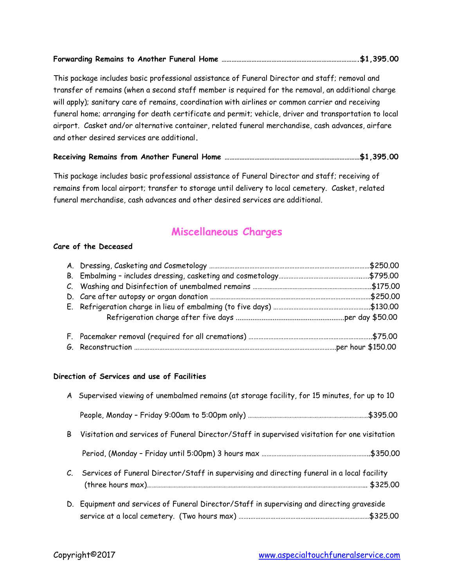|--|--|--|--|--|

This package includes basic professional assistance of Funeral Director and staff; removal and transfer of remains (when a second staff member is required for the removal, an additional charge will apply); sanitary care of remains, coordination with airlines or common carrier and receiving funeral home; arranging for death certificate and permit; vehicle, driver and transportation to local airport. Casket and/or alternative container, related funeral merchandise, cash advances, airfare and other desired services are additional**.**

#### **Receiving Remains from Another Funeral Home ………………………………………………………………………\$1,395.00**

This package includes basic professional assistance of Funeral Director and staff; receiving of remains from local airport; transfer to storage until delivery to local cemetery. Casket, related funeral merchandise, cash advances and other desired services are additional.

### **Miscellaneous Charges**

#### **Care of the Deceased**

#### **Direction of Services and use of Facilities**

|   | A Supervised viewing of unembalmed remains (at storage facility, for 15 minutes, for up to 10  |  |
|---|------------------------------------------------------------------------------------------------|--|
|   |                                                                                                |  |
| B | Visitation and services of Funeral Director/Staff in supervised visitation for one visitation  |  |
|   |                                                                                                |  |
|   | C. Services of Funeral Director/Staff in supervising and directing funeral in a local facility |  |
|   | D. Equipment and services of Funeral Director/Staff in supervising and directing graveside     |  |

service at a local cemetery. (Two hours max) …….…………………………………..…………………………\$325.00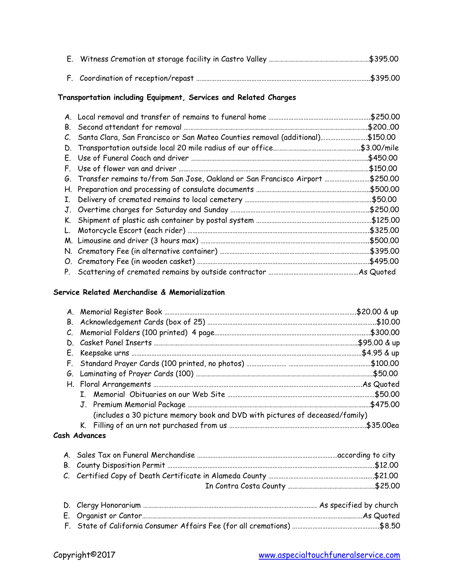#### **Transportation including Equipment, Services and Related Charges**

| В.      |                                                                                       |          |
|---------|---------------------------------------------------------------------------------------|----------|
| $C_{1}$ | 5150.00 Santa Clara, San Francisco or San Mateo Counties removal (additional)\$150.00 |          |
|         |                                                                                       |          |
|         |                                                                                       |          |
|         |                                                                                       |          |
|         | 6. Transfer remains to/from San Jose, Oakland or San Francisco Airport \$250.00       |          |
|         |                                                                                       |          |
|         |                                                                                       |          |
|         |                                                                                       | \$250.00 |
|         |                                                                                       |          |
|         |                                                                                       |          |
|         |                                                                                       | \$500.00 |
|         |                                                                                       |          |
|         |                                                                                       |          |
|         |                                                                                       |          |

#### **Service Related Merchandise & Memorialization**

| (includes a 30 picture memory book and DVD with pictures of deceased/family) |  |
|------------------------------------------------------------------------------|--|
|                                                                              |  |
| ala Abdunanan a                                                              |  |

#### **Cash Advances**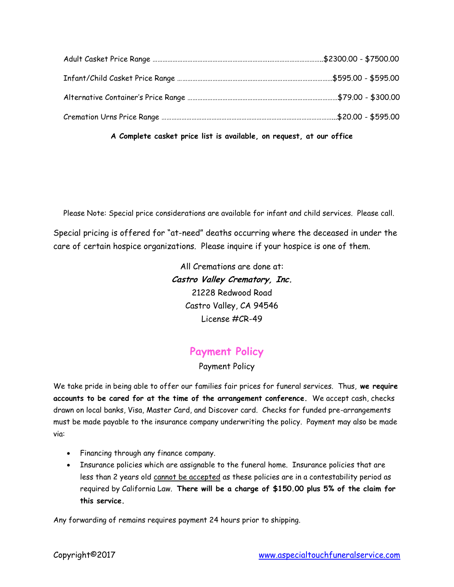**A Complete casket price list is available, on request, at our office**

Please Note: Special price considerations are available for infant and child services. Please call.

Special pricing is offered for "at-need" deaths occurring where the deceased in under the care of certain hospice organizations. Please inquire if your hospice is one of them.

> All Cremations are done at: **Castro Valley Crematory, Inc.** 21228 Redwood Road Castro Valley, CA 94546 License #CR-49

### **Payment Policy**

#### Payment Policy

We take pride in being able to offer our families fair prices for funeral services. Thus, **we require accounts to be cared for at the time of the arrangement conference.** We accept cash, checks drawn on local banks, Visa, Master Card, and Discover card. Checks for funded pre-arrangements must be made payable to the insurance company underwriting the policy. Payment may also be made via:

- Financing through any finance company.
- Insurance policies which are assignable to the funeral home. Insurance policies that are less than 2 years old cannot be accepted as these policies are in a contestability period as required by California Law. **There will be a charge of \$150.00 plus 5% of the claim for this service.**

Any forwarding of remains requires payment 24 hours prior to shipping.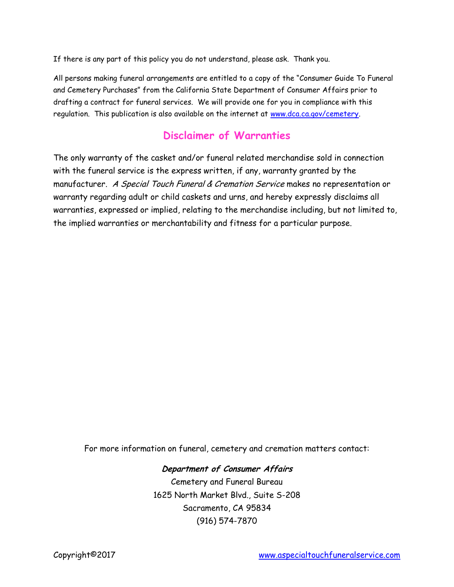If there is any part of this policy you do not understand, please ask. Thank you.

All persons making funeral arrangements are entitled to a copy of the "Consumer Guide To Funeral and Cemetery Purchases" from the California State Department of Consumer Affairs prior to drafting a contract for funeral services. We will provide one for you in compliance with this regulation. This publication is also available on the internet at [www.dca.ca.gov/cemetery.](http://www.dca.ca.gov/cemetery)

### **Disclaimer of Warranties**

The only warranty of the casket and/or funeral related merchandise sold in connection with the funeral service is the express written, if any, warranty granted by the manufacturer. A Special Touch Funeral & Cremation Service makes no representation or warranty regarding adult or child caskets and urns, and hereby expressly disclaims all warranties, expressed or implied, relating to the merchandise including, but not limited to, the implied warranties or merchantability and fitness for a particular purpose.

For more information on funeral, cemetery and cremation matters contact:

### **Department of Consumer Affairs**

Cemetery and Funeral Bureau 1625 North Market Blvd., Suite S-208 Sacramento, CA 95834 (916) 574-7870